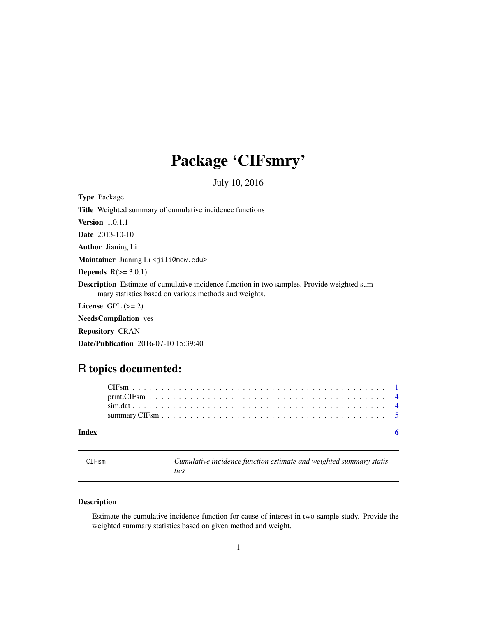# <span id="page-0-0"></span>Package 'CIFsmry'

July 10, 2016

| <b>Type Package</b>                                                                                                                                         |
|-------------------------------------------------------------------------------------------------------------------------------------------------------------|
| <b>Title</b> Weighted summary of cumulative incidence functions                                                                                             |
| <b>Version</b> $1.0.1.1$                                                                                                                                    |
| <b>Date</b> 2013-10-10                                                                                                                                      |
| <b>Author</b> Jianing Li                                                                                                                                    |
| Maintainer Jianing Li <jili@mcw.edu></jili@mcw.edu>                                                                                                         |
| <b>Depends</b> $R(>= 3.0.1)$                                                                                                                                |
| <b>Description</b> Estimate of cumulative incidence function in two samples. Provide weighted sum-<br>mary statistics based on various methods and weights. |
| License $GPL (= 2)$                                                                                                                                         |
| <b>NeedsCompilation</b> yes                                                                                                                                 |
| <b>Repository CRAN</b>                                                                                                                                      |

Date/Publication 2016-07-10 15:39:40

## R topics documented:

| Index |  |  |  |  |  |  |  |  |  |  |  |  |  |  |  |  |  |
|-------|--|--|--|--|--|--|--|--|--|--|--|--|--|--|--|--|--|

<span id="page-0-1"></span>

| CIFsm | Cumulative incidence function estimate and weighted summary statis- |
|-------|---------------------------------------------------------------------|
|       | tics                                                                |

### Description

Estimate the cumulative incidence function for cause of interest in two-sample study. Provide the weighted summary statistics based on given method and weight.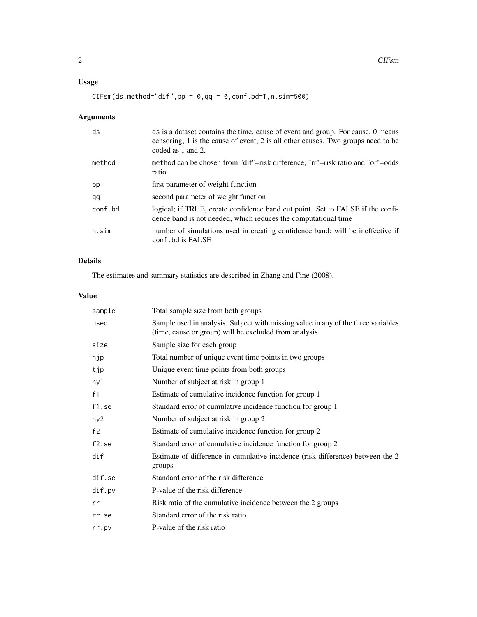#### Usage

 $CIFsm(ds, method="dif",pp = 0,qq = 0,conf.bd=T,n,sim=500)$ 

### Arguments

| ds      | ds is a dataset contains the time, cause of event and group. For cause, 0 means<br>censoring, 1 is the cause of event, 2 is all other causes. Two groups need to be<br>coded as 1 and 2. |
|---------|------------------------------------------------------------------------------------------------------------------------------------------------------------------------------------------|
| method  | method can be chosen from "dif"=risk difference, "rr"=risk ratio and "or"=odds<br>ratio                                                                                                  |
| pp      | first parameter of weight function                                                                                                                                                       |
| qq      | second parameter of weight function                                                                                                                                                      |
| conf.bd | logical; if TRUE, create confidence band cut point. Set to FALSE if the confi-<br>dence band is not needed, which reduces the computational time                                         |
| n.sim   | number of simulations used in creating confidence band; will be ineffective if<br>conf.bd is FALSE                                                                                       |

#### Details

The estimates and summary statistics are described in Zhang and Fine (2008).

#### Value

| sample          | Total sample size from both groups                                                                                                         |
|-----------------|--------------------------------------------------------------------------------------------------------------------------------------------|
| used            | Sample used in analysis. Subject with missing value in any of the three variables<br>(time, cause or group) will be excluded from analysis |
| size            | Sample size for each group                                                                                                                 |
| njp             | Total number of unique event time points in two groups                                                                                     |
| tjp             | Unique event time points from both groups                                                                                                  |
| ny1             | Number of subject at risk in group 1                                                                                                       |
| f1              | Estimate of cumulative incidence function for group 1                                                                                      |
| f1.se           | Standard error of cumulative incidence function for group 1                                                                                |
| ny <sub>2</sub> | Number of subject at risk in group 2                                                                                                       |
| f2              | Estimate of cumulative incidence function for group 2                                                                                      |
| $f2$ .se        | Standard error of cumulative incidence function for group 2                                                                                |
| dif             | Estimate of difference in cumulative incidence (risk difference) between the 2<br>groups                                                   |
| dif.se          | Standard error of the risk difference                                                                                                      |
| dif.pv          | P-value of the risk difference                                                                                                             |
| rr              | Risk ratio of the cumulative incidence between the 2 groups                                                                                |
| rr.se           | Standard error of the risk ratio                                                                                                           |
| rr.py           | P-value of the risk ratio                                                                                                                  |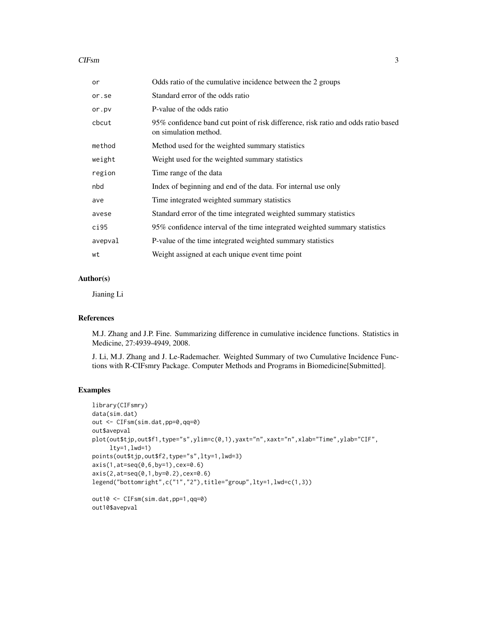#### $CIFsm$  3

| or      | Odds ratio of the cumulative incidence between the 2 groups                                                |
|---------|------------------------------------------------------------------------------------------------------------|
| or.se   | Standard error of the odds ratio                                                                           |
| or.pv   | P-value of the odds ratio                                                                                  |
| cbcut   | 95% confidence band cut point of risk difference, risk ratio and odds ratio based<br>on simulation method. |
| method  | Method used for the weighted summary statistics                                                            |
| weight  | Weight used for the weighted summary statistics                                                            |
| region  | Time range of the data                                                                                     |
| nbd     | Index of beginning and end of the data. For internal use only                                              |
| ave     | Time integrated weighted summary statistics                                                                |
| avese   | Standard error of the time integrated weighted summary statistics                                          |
| ci95    | 95% confidence interval of the time integrated weighted summary statistics                                 |
| avepval | P-value of the time integrated weighted summary statistics                                                 |
| wt      | Weight assigned at each unique event time point                                                            |

#### Author(s)

Jianing Li

#### References

M.J. Zhang and J.P. Fine. Summarizing difference in cumulative incidence functions. Statistics in Medicine, 27:4939-4949, 2008.

J. Li, M.J. Zhang and J. Le-Rademacher. Weighted Summary of two Cumulative Incidence Functions with R-CIFsmry Package. Computer Methods and Programs in Biomedicine[Submitted].

#### Examples

```
library(CIFsmry)
data(sim.dat)
out <- CIFsm(sim.dat,pp=0,qq=0)
out$avepval
plot(out$tjp,out$f1,type="s",ylim=c(0,1),yaxt="n",xaxt="n",xlab="Time",ylab="CIF",
     lty=1,lwd=1)
points(out$tjp,out$f2,type="s",lty=1,lwd=3)
axis(1,at=seq(0,6,by=1),cex=0.6)
axis(2,at=seq(0,1,by=0.2),cex=0.6)
legend("bottomright",c("1","2"),title="group",lty=1,lwd=c(1,3))
out10 <- CIFsm(sim.dat,pp=1,qq=0)
out10$avepval
```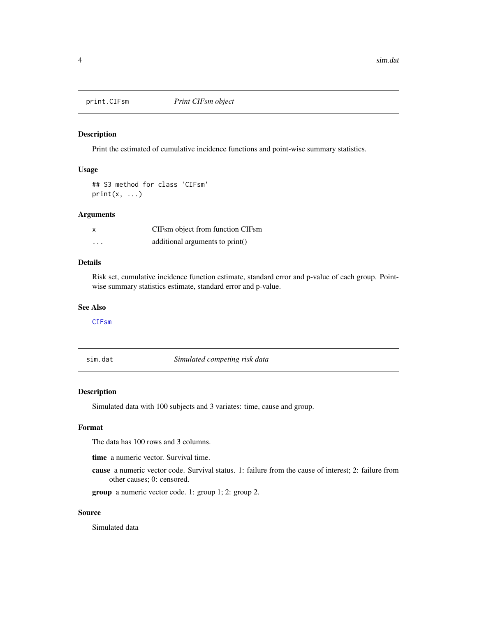<span id="page-3-0"></span>

#### Description

Print the estimated of cumulative incidence functions and point-wise summary statistics.

#### Usage

```
## S3 method for class 'CIFsm'
print(x, \ldots)
```
#### Arguments

| $\boldsymbol{\mathsf{x}}$ | CIFsm object from function CIFsm |
|---------------------------|----------------------------------|
| $\cdots$                  | additional arguments to print()  |

#### Details

Risk set, cumulative incidence function estimate, standard error and p-value of each group. Pointwise summary statistics estimate, standard error and p-value.

#### See Also

[CIFsm](#page-0-1)

sim.dat *Simulated competing risk data*

#### Description

Simulated data with 100 subjects and 3 variates: time, cause and group.

#### Format

The data has 100 rows and 3 columns.

time a numeric vector. Survival time.

cause a numeric vector code. Survival status. 1: failure from the cause of interest; 2: failure from other causes; 0: censored.

group a numeric vector code. 1: group 1; 2: group 2.

#### Source

Simulated data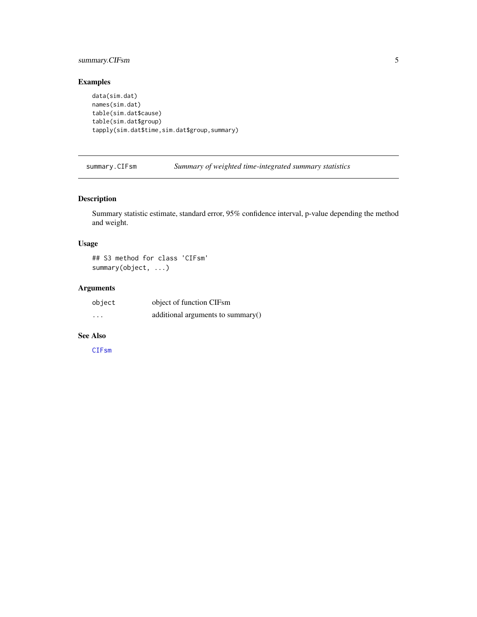#### <span id="page-4-0"></span>summary.CIFsm 5

#### Examples

```
data(sim.dat)
names(sim.dat)
table(sim.dat$cause)
table(sim.dat$group)
tapply(sim.dat$time,sim.dat$group,summary)
```
#### Description

Summary statistic estimate, standard error, 95% confidence interval, p-value depending the method and weight.

#### Usage

## S3 method for class 'CIFsm' summary(object, ...)

#### Arguments

| object   | object of function CIFsm             |
|----------|--------------------------------------|
| $\cdots$ | additional arguments to summary $()$ |

#### See Also

[CIFsm](#page-0-1)